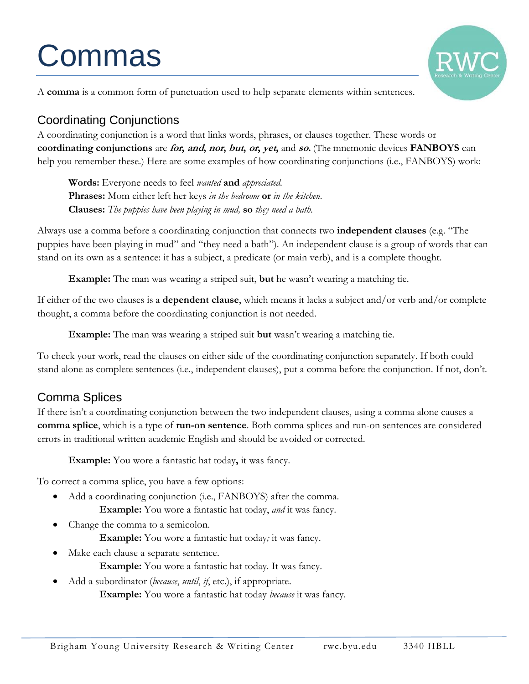# Commas



A **comma** is a common form of punctuation used to help separate elements within sentences.

## Coordinating Conjunctions

A coordinating conjunction is a word that links words, phrases, or clauses together. These words or **coordinating conjunctions** are **for, and, nor, but, or, yet,** and **so.** (The mnemonic devices **FANBOYS** can help you remember these.) Here are some examples of how coordinating conjunctions (i.e., FANBOYS) work:

**Words:** Everyone needs to feel *wanted* **and** *appreciated.* **Phrases:** Mom either left her keys *in the bedroom* **or** *in the kitchen.* **Clauses:** *The puppies have been playing in mud,* **so** *they need a bath.*

Always use a comma before a coordinating conjunction that connects two **independent clauses** (e.g. "The puppies have been playing in mud" and "they need a bath"). An independent clause is a group of words that can stand on its own as a sentence: it has a subject, a predicate (or main verb), and is a complete thought.

**Example:** The man was wearing a striped suit, **but** he wasn't wearing a matching tie.

If either of the two clauses is a **dependent clause**, which means it lacks a subject and/or verb and/or complete thought, a comma before the coordinating conjunction is not needed.

**Example:** The man was wearing a striped suit **but** wasn't wearing a matching tie.

To check your work, read the clauses on either side of the coordinating conjunction separately. If both could stand alone as complete sentences (i.e., independent clauses), put a comma before the conjunction. If not, don't.

#### Comma Splices

If there isn't a coordinating conjunction between the two independent clauses, using a comma alone causes a **comma splice**, which is a type of **run-on sentence**. Both comma splices and run-on sentences are considered errors in traditional written academic English and should be avoided or corrected.

**Example:** You wore a fantastic hat today**,** it was fancy.

To correct a comma splice, you have a few options:

- Add a coordinating conjunction (i.e., FANBOYS) after the comma. **Example:** You wore a fantastic hat today, *and* it was fancy.
- Change the comma to a semicolon. **Example:** You wore a fantastic hat today*;* it was fancy.
- Make each clause a separate sentence. **Example:** You wore a fantastic hat today*.* It was fancy.
- Add a subordinator (*because*, *until*, *if*, etc.), if appropriate. **Example:** You wore a fantastic hat today *because* it was fancy.